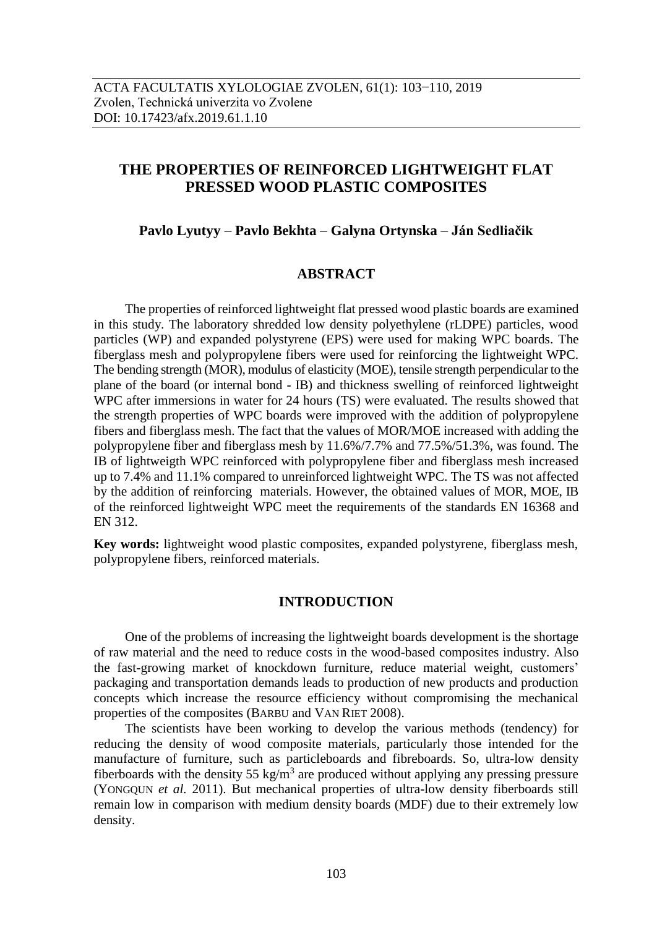# **THE PROPERTIES OF REINFORCED LIGHTWEIGHT FLAT PRESSED WOOD PLASTIC COMPOSITES**

# **Pavlo Lyutyy** – **Pavlo Bekhta** – **Galyna Ortynska** – **Ján Sedliačik**

## **ABSTRACT**

The properties of reinforced lightweight flat pressed wood plastic boards are examined in this study. The laboratory shredded low density polyethylene (rLDPE) particles, wood particles (WP) and expanded polystyrene (EPS) were used for making WPC boards. The fiberglass mesh and polypropylene fibers were used for reinforcing the lightweight WPC. The bending strength (MOR), modulus of elasticity (MOE), tensile strength perpendicular to the plane of the board (or internal bond - IB) and thickness swelling of reinforced lightweight WPC after immersions in water for 24 hours (TS) were evaluated. The results showed that the strength properties of WPC boards were improved with the addition of polypropylene fibers and fiberglass mesh. The fact that the values of MOR/MOE increased with adding the polypropylene fiber and fiberglass mesh by 11.6%/7.7% and 77.5%/51.3%, was found. The IB of lightweigth WPC reinforced with polypropylene fiber and fiberglass mesh increased up to 7.4% and 11.1% compared to unreinforced lightweight WPC. The TS was not affected by the addition of reinforcing materials. However, the obtained values of MOR, MOE, IB of the reinforced lightweight WPC meet the requirements of the standards EN 16368 and EN 312.

**Key words:** lightweight wood plastic composites, expanded polystyrene, fiberglass mesh, polypropylene fibers, reinforced materials.

## **INTRODUCTION**

One of the problems of increasing the lightweight boards development is the shortage of raw material and the need to reduce costs in the wood-based composites industry. Also the fast-growing market of knockdown furniture, reduce material weight, customers' packaging and transportation demands leads to production of new products and production concepts which increase the resource efficiency without compromising the mechanical properties of the composites (BARBU and VAN RIET 2008).

The scientists have been working to develop the various methods (tendency) for reducing the density of wood composite materials, particularly those intended for the manufacture of furniture, such as particleboards and fibreboards. So, ultra-low density fiberboards with the density 55 kg/m<sup>3</sup> are produced without applying any pressing pressure (YONGQUN *et al.* 2011). But mechanical properties of ultra-low density fiberboards still remain low in comparison with medium density boards (MDF) due to their extremely low density.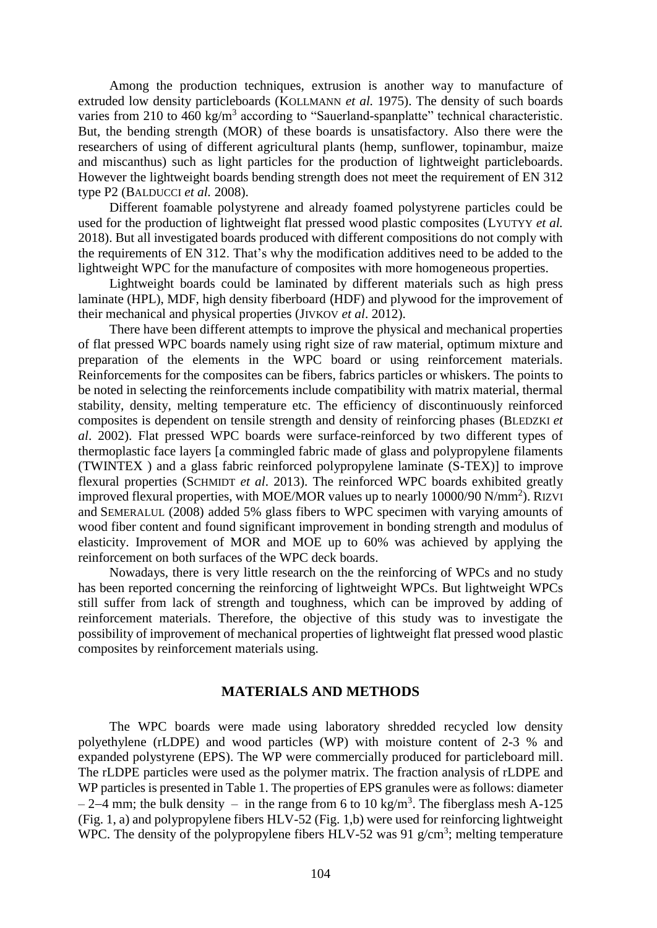Among the production techniques, extrusion is another way to manufacture of extruded low density particleboards (KOLLMANN *et al.* 1975). The density of such boards varies from 210 to 460 kg/m<sup>3</sup> according to "Sauerland-spanplatte" technical characteristic. But, the bending strength (MOR) of these boards is unsatisfactory. Also there were the researchers of using of different agricultural plants (hemp, sunflower, topinambur, maize and miscanthus) such as light particles for the production of lightweight particleboards. However the lightweight boards bending strength does not meet the requirement of EN 312 type P2 (BALDUCCI *et al.* 2008).

Different foamable polystyrene and already foamed polystyrene particles could be used for the production of lightweight flat pressed wood plastic composites (LYUTYY *et al.* 2018). But all investigated boards produced with different compositions do not comply with the requirements of EN 312. That's why the modification additives need to be added to the lightweight WPC for the manufacture of composites with more homogeneous properties.

Lightweight boards could be laminated by different materials such as high press laminate (HPL), MDF, high density fiberboard (HDF) and plywood for the improvement of their mechanical and physical properties (JIVKOV *et al*. 2012).

There have been different attempts to improve the physical and mechanical properties of flat pressed WPC boards namely using right size of raw material, optimum mixture and preparation of the elements in the WPC board or using reinforcement materials. Reinforcements for the composites can be fibers, fabrics particles or whiskers. The points to be noted in selecting the reinforcements include compatibility with matrix material, thermal stability, density, melting temperature etc. The efficiency of discontinuously reinforced composites is dependent on tensile strength and density of reinforcing phases (BLEDZKI *et al*. 2002). Flat pressed WPC boards were surface-reinforced by two different types of thermoplastic face layers [a commingled fabric made of glass and polypropylene filaments (TWINTEX ) and a glass fabric reinforced polypropylene laminate (S-TEX)] to improve flexural properties (SCHMIDT *et al*. 2013). The reinforced WPC boards exhibited greatly improved flexural properties, with MOE/MOR values up to nearly 10000/90 N/mm<sup>2</sup>). RIZVI and SEMERALUL (2008) added 5% glass fibers to WPC specimen with varying amounts of wood fiber content and found significant improvement in bonding strength and modulus of elasticity. Improvement of MOR and MOE up to 60% was achieved by applying the reinforcement on both surfaces of the WPC deck boards.

Nowadays, there is very little research on the the reinforcing of WPCs and no study has been reported concerning the reinforcing of lightweight WPCs. But lightweight WPCs still suffer from lack of strength and toughness, which can be improved by adding of reinforcement materials. Therefore, the objective of this study was to investigate the possibility of improvement of mechanical properties of lightweight flat pressed wood plastic composites by reinforcement materials using.

## **MATERIALS AND METHODS**

The WPC boards were made using laboratory shredded recycled low density polyethylene (rLDPE) and wood particles (WP) with moisture content of 2-3 % and expanded polystyrene (EPS). The WP were commercially produced for particleboard mill. The rLDPE particles were used as the polymer matrix. The fraction analysis of rLDPE and WP particles is presented in Table 1. The properties of EPS granules were as follows: diameter  $-2-4$  mm; the bulk density – in the range from 6 to 10 kg/m<sup>3</sup>. The fiberglass mesh A-125 (Fig. 1, a) and polypropylene fibers HLV-52 (Fig. 1,b) were used for reinforcing lightweight WPC. The density of the polypropylene fibers  $HLV-52$  was 91 g/cm<sup>3</sup>; melting temperature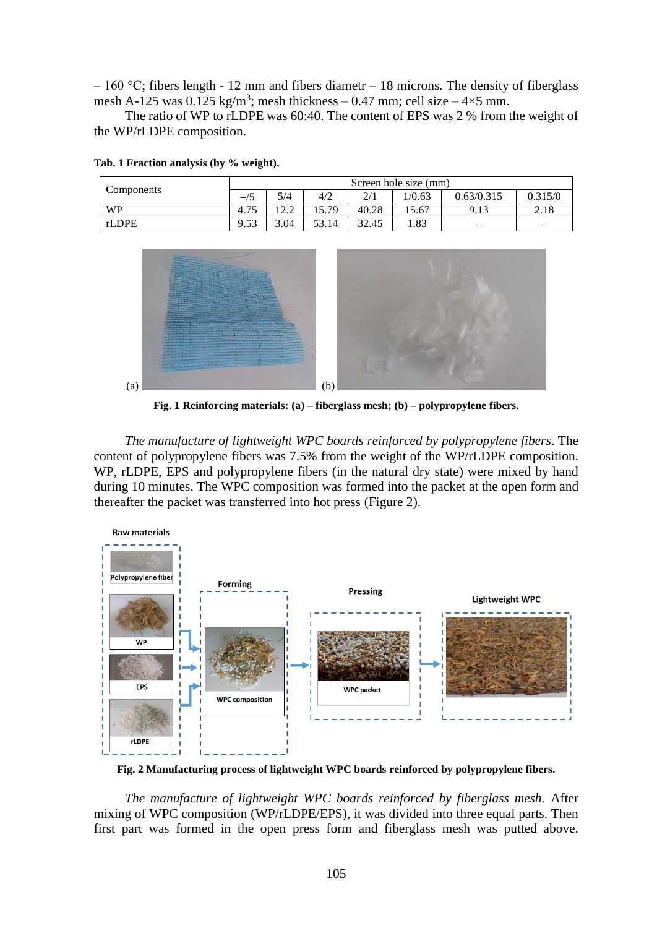$-160$  °C; fibers length - 12 mm and fibers diametr  $-18$  microns. The density of fiberglass mesh A-125 was  $0.125 \text{ kg/m}^3$ ; mesh thickness – 0.47 mm; cell size – 4×5 mm.

The ratio of WP to rLDPE was 60:40. The content of EPS was 2 % from the weight of the WP/rLDPE composition.

| Components | Screen hole size (mm) |      |       |       |        |            |         |
|------------|-----------------------|------|-------|-------|--------|------------|---------|
|            | $\rightarrow$         | 5/4  | 4/2   | 2/1   | 1/0.63 | 0.63/0.315 | 0.315/0 |
| <b>WP</b>  | 4.75                  |      | 15.79 | 40.28 | 15.67  | 9.13       | 2.18    |
| rLDPE      | 9.53                  | 3.04 | 53.14 | 32.45 | 1.83   |            |         |

**Tab. 1 Fraction analysis (by % weight).**



**Fig. 1 Reinforcing materials: (a) – fiberglass mesh; (b) – polypropylene fibers.**

*The manufacture of lightweight WPC boards reinforced by polypropylene fibers*. The content of polypropylene fibers was 7.5% from the weight of the WP/rLDPE composition. WP, rLDPE, EPS and polypropylene fibers (in the natural dry state) were mixed by hand during 10 minutes. The WPC composition was formed into the packet at the open form and thereafter the packet was transferred into hot press (Figure 2).



**Fig. 2 Manufacturing process of lightweight WPC boards reinforced by polypropylene fibers.**

*The manufacture of lightweight WPC boards reinforced by fiberglass mesh.* After mixing of WPC composition (WP/rLDPE/EPS), it was divided into three equal parts. Then first part was formed in the open press form and fiberglass mesh was putted above.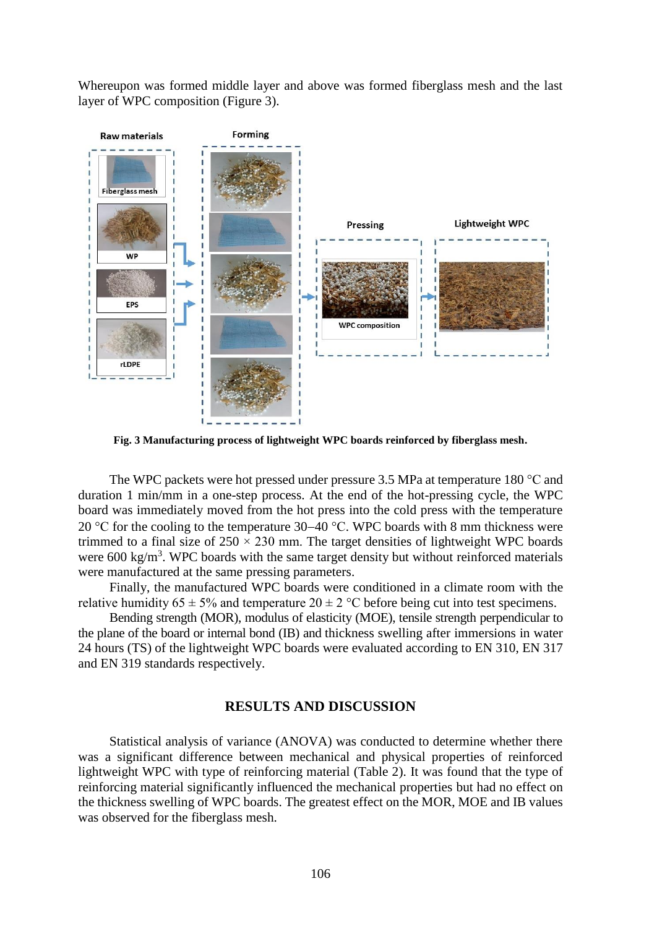Whereupon was formed middle layer and above was formed fiberglass mesh and the last layer of WPC composition (Figure 3).



**Fig. 3 Manufacturing process of lightweight WPC boards reinforced by fiberglass mesh.**

The WPC packets were hot pressed under pressure 3.5 MPa at temperature 180 °C and duration 1 min/mm in a one-step process. At the end of the hot-pressing cycle, the WPC board was immediately moved from the hot press into the cold press with the temperature 20 °C for the cooling to the temperature 30–40 °C. WPC boards with 8 mm thickness were trimmed to a final size of  $250 \times 230$  mm. The target densities of lightweight WPC boards were  $600 \text{ kg/m}^3$ . WPC boards with the same target density but without reinforced materials were manufactured at the same pressing parameters.

Finally, the manufactured WPC boards were conditioned in a climate room with the relative humidity  $65 \pm 5\%$  and temperature  $20 \pm 2\degree$ C before being cut into test specimens.

Bending strength (MOR), modulus of elasticity (MOE), tensile strength perpendicular to the plane of the board or internal bond (IB) and thickness swelling after immersions in water 24 hours (TS) of the lightweight WPC boards were evaluated according to EN 310, EN 317 and EN 319 standards respectively.

#### **RESULTS AND DISCUSSION**

Statistical analysis of variance (ANOVA) was conducted to determine whether there was a significant difference between mechanical and physical properties of reinforced lightweight WPC with type of reinforcing material (Table 2). It was found that the type of reinforcing material significantly influenced the mechanical properties but had no effect on the thickness swelling of WPC boards. The greatest effect on the MOR, MOE and IB values was observed for the fiberglass mesh.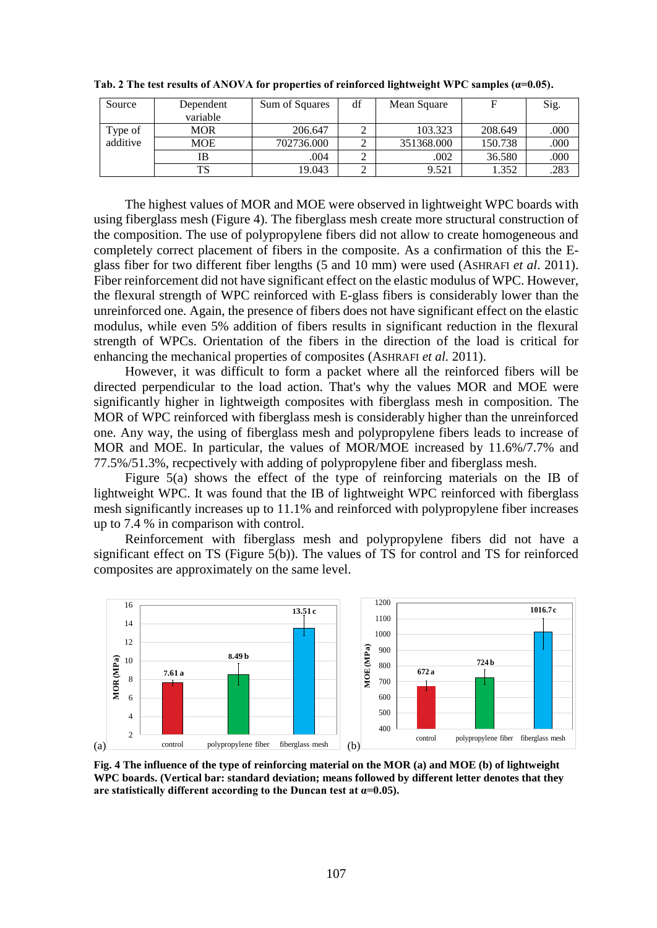| Source   | Dependent | Sum of Squares | df | Mean Square |         | Sig. |
|----------|-----------|----------------|----|-------------|---------|------|
|          | variable  |                |    |             |         |      |
| Type of  | MOR       | 206.647        |    | 103.323     | 208.649 | .000 |
| additive | MOE       | 702736.000     |    | 351368.000  | 150.738 | .000 |
|          | IB        | .004           |    | .002        | 36.580  | .000 |
|          | TS        | 19.043         |    | 9.521       | .352    | .283 |

**Tab. 2 The test results of ANOVA for properties of reinforced lightweight WPC samples (α=0.05).**

The highest values of MOR and MOE were observed in lightweight WPC boards with using fiberglass mesh (Figure 4). The fiberglass mesh create more structural construction of the composition. The use of polypropylene fibers did not allow to create homogeneous and completely correct placement of fibers in the composite. As a confirmation of this the Eglass fiber for two different fiber lengths (5 and 10 mm) were used (ASHRAFI *et al*. 2011). Fiber reinforcement did not have significant effect on the elastic modulus of WPC. However, the flexural strength of WPC reinforced with E-glass fibers is considerably lower than the unreinforced one. Again, the presence of fibers does not have significant effect on the elastic modulus, while even 5% addition of fibers results in significant reduction in the flexural strength of WPCs. Orientation of the fibers in the direction of the load is critical for enhancing the mechanical properties of composites (ASHRAFI *et al.* 2011).

However, it was difficult to form a packet where all the reinforced fibers will be directed perpendicular to the load action. That's why the values MOR and MOE were significantly higher in lightweigth composites with fiberglass mesh in composition. The MOR of WPC reinforced with fiberglass mesh is considerably higher than the unreinforced one. Any way, the using of fiberglass mesh and polypropylene fibers leads to increase of MOR and MOE. In particular, the values of MOR/MOE increased by 11.6%/7.7% and 77.5%/51.3%, recpectively with adding of polypropylene fiber and fiberglass mesh.

Figure 5(a) shows the effect of the type of reinforcing materials on the IB of lightweight WPC. It was found that the IB of lightweight WPC reinforced with fiberglass mesh significantly increases up to 11.1% and reinforced with polypropylene fiber increases up to 7.4 % in comparison with control.

Reinforcement with fiberglass mesh and polypropylene fibers did not have a significant effect on TS (Figure 5(b)). The values of TS for control and TS for reinforced composites are approximately on the same level.



**Fig. 4 The influence of the type of reinforcing material on the MOR (a) and MOE (b) of lightweight WPC boards. (Vertical bar: standard deviation; means followed by different letter denotes that they**  are statistically different according to the Duncan test at  $\alpha=0.05$ ).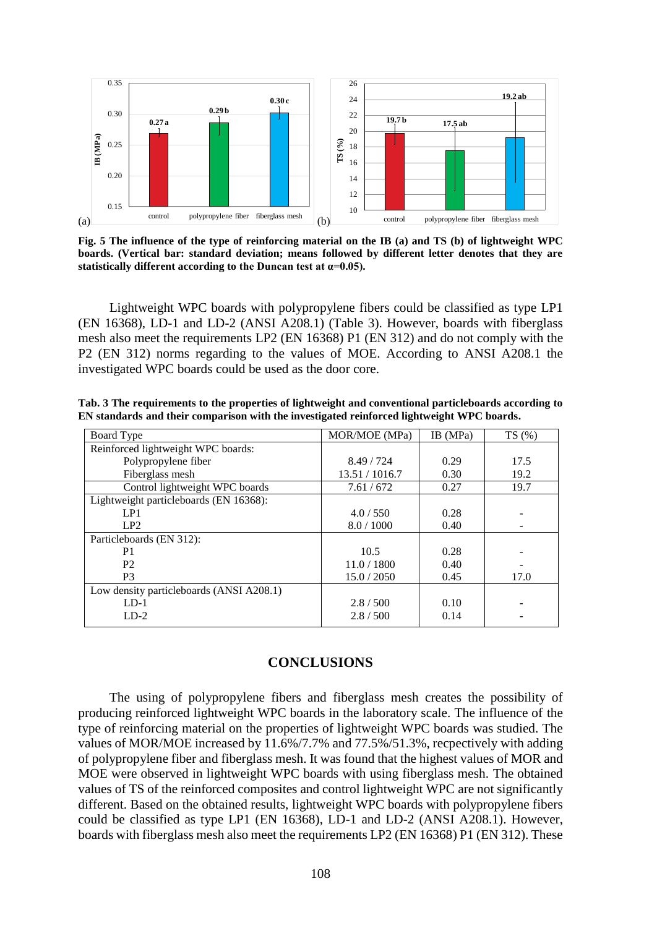

**Fig. 5 The influence of the type of reinforcing material on the IB (a) and TS (b) of lightweight WPC boards. (Vertical bar: standard deviation; means followed by different letter denotes that they are**  statistically different according to the Duncan test at  $\alpha$ =0.05).

Lightweight WPC boards with polypropylene fibers could be classified as type LP1 (EN 16368), LD-1 and LD-2 (ANSI A208.1) (Table 3). However, boards with fiberglass mesh also meet the requirements LP2 (EN 16368) P1 (EN 312) and do not comply with the P2 (EN 312) norms regarding to the values of MOE. According to ANSI A208.1 the investigated WPC boards could be used as the door core.

| Tab. 3 The requirements to the properties of lightweight and conventional particleboards according to |  |
|-------------------------------------------------------------------------------------------------------|--|
| EN standards and their comparison with the investigated reinforced lightweight WPC boards.            |  |

| Board Type                               | MOR/MOE (MPa)  | IB (MPa) | TS(%) |
|------------------------------------------|----------------|----------|-------|
| Reinforced lightweight WPC boards:       |                |          |       |
| Polypropylene fiber                      | 8.49/724       | 0.29     | 17.5  |
| Fiberglass mesh                          | 13.51 / 1016.7 | 0.30     | 19.2  |
| Control lightweight WPC boards           | 7.61/672       | 0.27     | 19.7  |
| Lightweight particleboards (EN 16368):   |                |          |       |
| LP1                                      | 4.0 / 550      | 0.28     |       |
| LP2                                      | 8.0 / 1000     | 0.40     |       |
| Particleboards (EN 312):                 |                |          |       |
| P <sub>1</sub>                           | 10.5           | 0.28     |       |
| P <sub>2</sub>                           | 11.0 / 1800    | 0.40     |       |
| P <sub>3</sub>                           | 15.0 / 2050    | 0.45     | 17.0  |
| Low density particleboards (ANSI A208.1) |                |          |       |
| $LD-1$                                   | 2.8 / 500      | 0.10     |       |
| $LD-2$                                   | 2.8/500        | 0.14     |       |

# **CONCLUSIONS**

The using of polypropylene fibers and fiberglass mesh creates the possibility of producing reinforced lightweight WPC boards in the laboratory scale. The influence of the type of reinforcing material on the properties of lightweight WPC boards was studied. The values of MOR/MOE increased by 11.6%/7.7% and 77.5%/51.3%, recpectively with adding of polypropylene fiber and fiberglass mesh. It was found that the highest values of MOR and MOE were observed in lightweight WPC boards with using fiberglass mesh. The obtained values of TS of the reinforced composites and control lightweight WPC are not significantly different. Based on the obtained results, lightweight WPC boards with polypropylene fibers could be classified as type LP1 (EN 16368), LD-1 and LD-2 (ANSI A208.1). However, boards with fiberglass mesh also meet the requirements LP2 (EN 16368) P1 (EN 312). These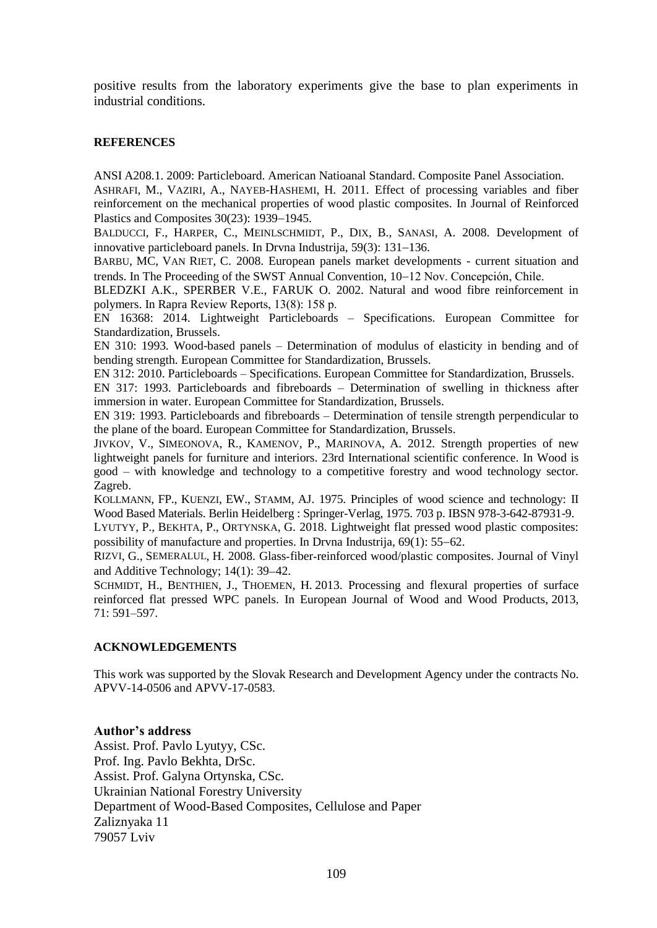positive results from the laboratory experiments give the base to plan experiments in industrial conditions.

#### **REFERENCES**

ANSI A208.1. 2009: Particleboard. American Natioanal Standard. Composite Panel Association.

ASHRAFI, M., VAZIRI, A., NAYEB-HASHEMI, H. 2011. Effect of processing variables and fiber reinforcement on the mechanical properties of wood plastic composites. In Journal of Reinforced Plastics and Composites  $30(23)$ : 1939–1945.

BALDUCCI, F., HARPER, C., MEINLSCHMIDT, P., DIX, B., SANASI, A. 2008. Development of innovative particleboard panels. In Drvna Industrija,  $59(3)$ : 131–136.

BARBU, MC, VAN RIET, C. 2008. European panels market developments - current situation and trends. In The Proceeding of the SWST Annual Convention,  $10-12$  Nov. Concepción, Chile.

BLEDZKI A.K., SPERBER V.E., FARUK O. 2002. Natural and wood fibre reinforcement in polymers. In Rapra Review Reports, 13(8): 158 р.

EN 16368: 2014. Lightweight Particleboards – Specifications. European Committee for Standardization, Brussels.

EN 310: 1993. Wood-based panels – Determination of modulus of elasticity in bending and of bending strength. European Committee for Standardization, Brussels.

EN 312: 2010. Particleboards – Specifications. European Committee for Standardization, Brussels.

EN 317: 1993. Particleboards and fibreboards – Determination of swelling in thickness after immersion in water. European Committee for Standardization, Brussels.

EN 319: 1993. Particleboards and fibreboards – Determination of tensile strength perpendicular to the plane of the board. European Committee for Standardization, Brussels.

JIVKOV, V., SIMEONOVA, R., KAMENOV, P., MARINOVA, A. 2012. Strength properties of new lightweight panels for furniture and interiors. 23rd International scientific conference. In Wood is good – with knowledge and technology to a competitive forestry and wood technology sector. Zagreb.

KOLLMANN, FP., KUENZI, EW., STAMM, AJ. 1975. Principles of wood science and technology: II Wood Based Materials. Berlin Heidelberg : Springer-Verlag, 1975. 703 p. IBSN 978-3-642-87931-9.

LYUTYY, P., BEKHTA, P., ORTYNSKA, G. 2018. Lightweight flat pressed wood plastic composites: possibility of manufacture and properties. In Drvna Industrija,  $69(1)$ : 55-62.

R[IZVI](https://www.researchgate.net/profile/Gulzar_Rizvi), G., S[EMERALUL](https://www.researchgate.net/scientific-contributions/2010036270_H_Semeralul), H. 2008. Glass‐fiber‐reinforced wood/plastic composites. Journal of Vinyl and Additive Technology;  $14(1)$ : 39-42.

SCHMIDT, H., BENTHIEN, J., THOEMEN, H. 2013. Processing and flexural properties of surface reinforced flat pressed WPC panels. In European Journal of Wood and Wood Products, 2013, 71: 591–597.

#### **ACKNOWLEDGEMENTS**

This work was supported by the Slovak Research and Development Agency under the contracts No. APVV-14-0506 and APVV-17-0583.

#### **Author's address**

Assist. Prof. Pavlo Lyutyy, CSc. Prof. Ing. Pavlo Bekhta, DrSc. Assist. Prof. Galyna Ortynska, CSc. Ukrainian National Forestry University Department of Wood-Based Composites, Cellulose and Paper Zaliznyaka 11 79057 Lviv